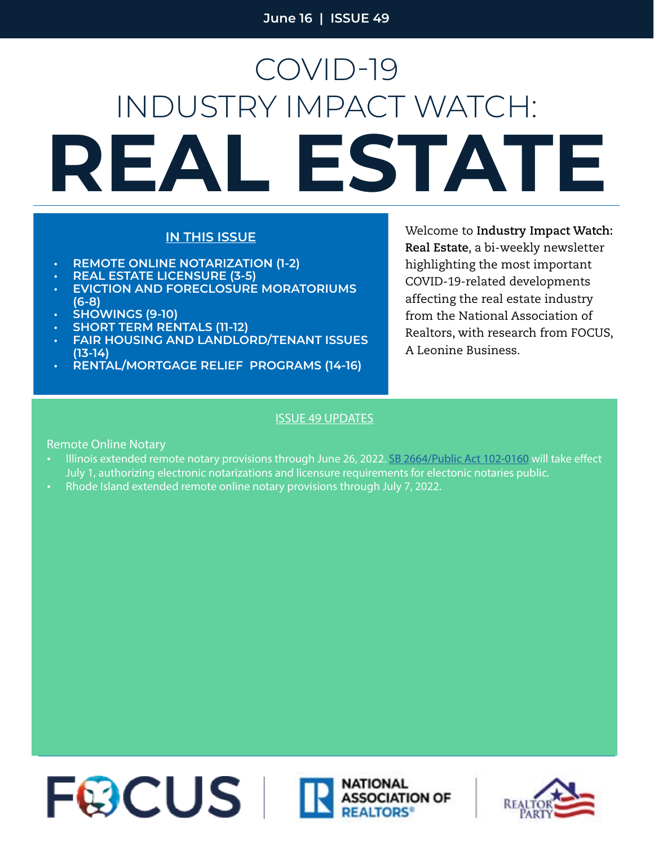# **REAL ESTATE** COVID-19 INDUSTRY IMPACT WATCH:

#### **IN THIS ISSUE**

- **• REMOTE ONLINE NOTARIZATION (1-2)**
- **• REAL ESTATE LICENSURE (3-5)**
- **• EVICTION AND FORECLOSURE MORATORIUMS (6-8)**
- **• SHOWINGS (9-10)**
- **• SHORT TERM RENTALS (11-12)**
- **• FAIR HOUSING AND LANDLORD/TENANT ISSUES (13-14)**
- **• RENTAL/MORTGAGE RELIEF PROGRAMS (14-16)**

Welcome to **Industry Impact Watch: Real Estate**, a bi-weekly newsletter highlighting the most important COVID-19-related developments affecting the real estate industry from the National Association of Realtors, with research from FOCUS, A Leonine Business.

#### ISSUE 49 UPDATES

Remote Online Notary

- **•** Illinois extended remote notary provisions through June 26, 2022. [SB 2664/Public Act 102-0160](https://ilga.gov/legislation/fulltext.asp?DocName=10200SB2664eng&GA=102&SessionId=110&DocTypeId=SB&LegID=135318&DocNum=2664&GAID=16&SpecSess=&Session=) will take effect July 1, authorizing electronic notarizations and licensure requirements for electonic notaries public.
- **•** Rhode Island extended remote online notary provisions through July 7, 2022.



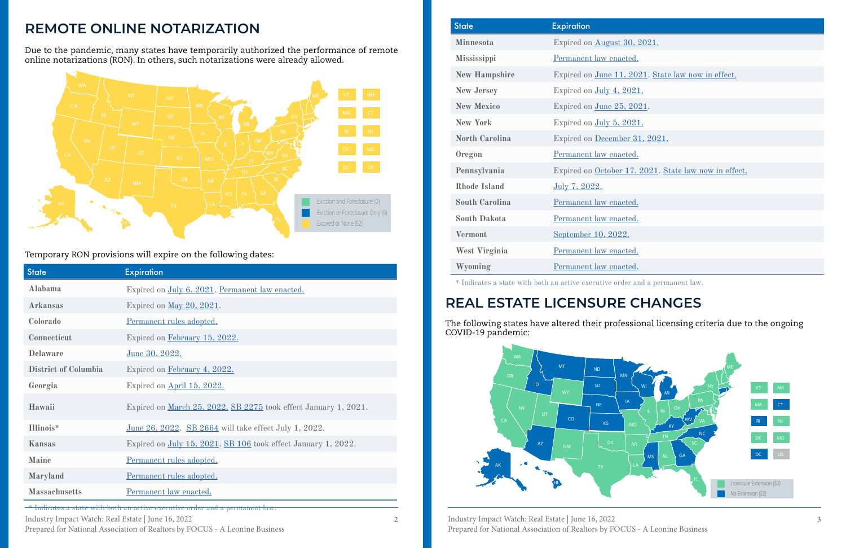Industry Impact Watch: Real Estate | June 16, 2022 Prepared for National Association of Realtors by FOCUS - A Leonine Business 2 Industry Impact Watch: Real Estate | June 16, 2022 3 Prepared for National Association of Realtors by FOCUS - A Leonine Business

| 30, 2021.                             |
|---------------------------------------|
| cted.                                 |
| ., 2021. State law now in effect.     |
| <u>2021.</u>                          |
| 6, 2021.                              |
| 2021.                                 |
| <u>er 31, 2021.</u>                   |
| cted.                                 |
| $17, 2021$ . State law now in effect. |
|                                       |
| ${\rm cted.}$                         |
| cted.                                 |
| 2.                                    |
| cted.                                 |
| cted.                                 |
| der and a nermanent law               |

| <b>State</b>         | <b>Expiration</b>                                                      |
|----------------------|------------------------------------------------------------------------|
| Alabama              | Expired on July 6, 2021. Permanent law enacted.                        |
| <b>Arkansas</b>      | Expired on <u>May 20, 2021</u> .                                       |
| Colorado             | Permanent rules adopted.                                               |
| Connecticut          | Expired on February 15, 2022.                                          |
| Delaware             | June 30, 2022.                                                         |
| District of Columbia | Expired on February 4, 2022.                                           |
| Georgia              | Expired on April 15, 2022.                                             |
| Hawaii               | Expired on <u>March 25, 2022. SB 2275</u> took effect January 1, 2021. |
| Illinois*            | <u>June 26, 2022. SB 2664</u> will take effect July 1, 2022.           |
| Kansas               | Expired on July 15, 2021. SB 106 took effect January 1, 2022.          |
| <b>Maine</b>         | Permanent rules adopted.                                               |
| Maryland             | Permanent rules adopted.                                               |
| <b>Massachusetts</b> | Permanent law enacted.                                                 |

\* Indicates a state with both an active executive order and a permanent law.

### Temporary RON provisions will expire on the following dates:



# **REAL ESTATE LICENSURE CHANGES**

The following states have altered their professional licensing criteria due to the ongoing COVID-19 pandemic:

### **REMOTE ONLINE NOTARIZATION**

Due to the pandemic, many states have temporarily authorized the performance of remote online notarizations (RON). In others, such notarizations were already allowed.



| <b>State</b>          | <b>Expiration</b>                                                            |
|-----------------------|------------------------------------------------------------------------------|
| <b>Minnesota</b>      | Expired on August 30, 2021.                                                  |
| Mississippi           | Permanent law enacted.                                                       |
| <b>New Hampshire</b>  | Expired on <u>June 11, 2021</u> . State law now in effect.                   |
| <b>New Jersey</b>     | Expired on July 4, 2021.                                                     |
| <b>New Mexico</b>     | Expired on <u>June 25, 2021</u> .                                            |
| <b>New York</b>       | Expired on July 5, 2021.                                                     |
| <b>North Carolina</b> | Expired on December 31, 2021.                                                |
| Oregon                | Permanent law enacted.                                                       |
| Pennsylvania          | Expired on October 17, 2021. State law now in effect.                        |
| <b>Rhode Island</b>   | July 7, 2022.                                                                |
| <b>South Carolina</b> | Permanent law enacted.                                                       |
| <b>South Dakota</b>   | Permanent law enacted.                                                       |
| <b>Vermont</b>        | September 10, 2022.                                                          |
| <b>West Virginia</b>  | Permanent law enacted.                                                       |
| Wyoming               | Permanent law enacted.                                                       |
|                       | * Indicates a state with both an active executive order and a permanent law. |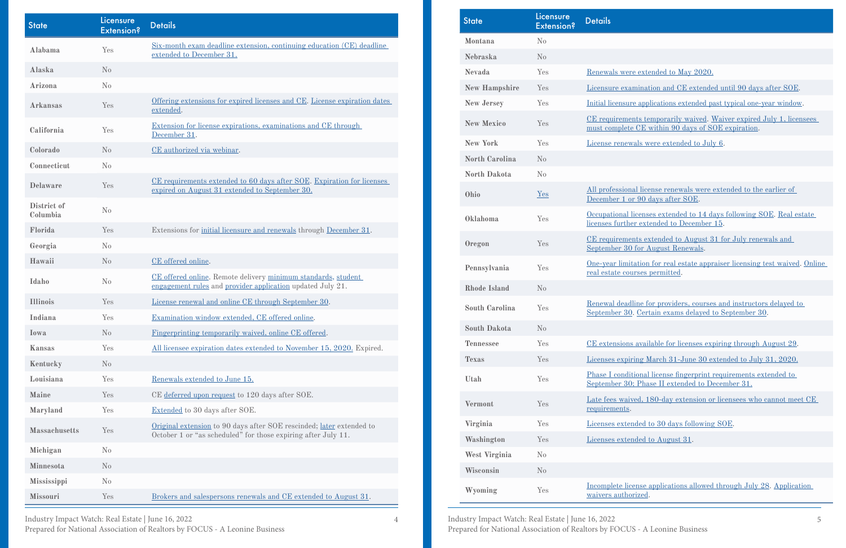1 Industry Impact Watch: Real Estate | June 16, 2022 5 Prepared for National Association of Realtors by FOCUS - A Leonine Business

- Pere extended to May 2020.
- **EXECUTE: A MAGGINE 20 ASSEMBER 2018 THE EXTENDITION AND THE EXCHENGER EXCHENGING AND THE EXCHENGER SOC**.
- **New Yes [Initial licensure applications extended past typical one-year window.](https://www.state.nj.us/dobi/bulletins/blt20_09.pdf)**
- **New Xeron Ceremonarily waived. Waiver expired July 1, licensees** ete CE within  $90$  days of SOE expiration.
- **EVALUATE:** We are extended to July 6.
- **Ohio** [Yes](https://www.legislature.ohio.gov/legislation/legislation-summary?id=GA133-HB-197) all license renewals were extended to the earlier of or 90 days after SOE.
- **Our Exercise extended to 14 days following SOE. Real estate** her extended to December 15.
- **Property** Extended to August 31 for July renewals and 30 for August Renewals.
- **Penaltion** for real estate appraiser licensing test waived. Online ourses permitted.
- adline for providers, courses and instructors delayed to 30. Certain exams delayed to [September 30](https://llr.sc.gov/appr/PDF/RenewalsAlert.pdf).
- **The Seconomist Section** available for licenses expiring through August 29.
- **The March 31-June 30 extended to July 31, 2020.**
- **Uniformal license fingerprint requirements extended to** 30; Phase II extended to December 31.
- **Vermonta Test and Yes Late** *X* Chain is very consider the cannot meet CE
- tended to 30 days following SOE.
- ended to August 31.

**EXECUTE:** icense applications allowed through July 28. Application orized.

| <b>State</b>            | Licensure<br><b>Extension?</b> | <b>Details</b>                                                                                                                        |
|-------------------------|--------------------------------|---------------------------------------------------------------------------------------------------------------------------------------|
| Alabama                 | Yes                            | <u>Six-month exam deadline extension, continuing education (CE) deadline</u><br>extended to December 31.                              |
| Alaska                  | $\rm No$                       |                                                                                                                                       |
| Arizona                 | No                             |                                                                                                                                       |
| <b>Arkansas</b>         | Yes                            | Offering extensions for expired licenses and CE. License expiration dates<br>extended.                                                |
| California              | Yes                            | Extension for license expirations, examinations and CE through<br>December 31.                                                        |
| Colorado                | $\rm No$                       | CE authorized via webinar.                                                                                                            |
| Connecticut             | No                             |                                                                                                                                       |
| <b>Delaware</b>         | Yes                            | CE requirements extended to 60 days after SOE. Expiration for licenses<br>expired on August 31 extended to September 30.              |
| District of<br>Columbia | No                             |                                                                                                                                       |
| Florida                 | Yes                            | Extensions for <u>initial licensure and renewals</u> through <b>December 31</b> .                                                     |
| Georgia                 | No                             |                                                                                                                                       |
| Hawaii                  | No                             | CE offered online.                                                                                                                    |
| Idaho                   | No                             | CE offered online. Remote delivery minimum standards, student<br>engagement rules and provider application updated July 21.           |
| <b>Illinois</b>         | Yes                            | License renewal and online CE through September 30.                                                                                   |
| Indiana                 | Yes                            | Examination window extended, CE offered online.                                                                                       |
| Iowa                    | No                             | Fingerprinting temporarily waived, online CE offered.                                                                                 |
| Kansas                  | Yes                            | All licensee expiration dates extended to November 15, 2020. Expired.                                                                 |
| Kentucky                | $\rm No$                       |                                                                                                                                       |
| Louisiana               | Yes                            | Renewals extended to June 15.                                                                                                         |
| <b>Maine</b>            | Yes                            | CE deferred upon request to 120 days after SOE.                                                                                       |
| Maryland                | Yes                            | Extended to 30 days after SOE.                                                                                                        |
| <b>Massachusetts</b>    | Yes                            | Original extension to 90 days after SOE rescinded; later extended to<br>October 1 or "as scheduled" for those expiring after July 11. |
| Michigan                | No                             |                                                                                                                                       |
| Minnesota               | No                             |                                                                                                                                       |
| Mississippi             | No                             |                                                                                                                                       |
| Missouri                | Yes                            | Brokers and salespersons renewals and CE extended to August 31.                                                                       |

| <b>State</b>          | <u>Licensure</u><br><b>Extension?</b> | <b>Details</b>                          |
|-----------------------|---------------------------------------|-----------------------------------------|
| Montana               | No                                    |                                         |
| <b>Nebraska</b>       | No                                    |                                         |
| <b>Nevada</b>         | Yes                                   | Renewals wer                            |
| <b>New Hampshire</b>  | Yes                                   | Licensure exa                           |
| <b>New Jersey</b>     | Yes                                   | Initial licensur                        |
| <b>New Mexico</b>     | Yes                                   | <u>CE requireme</u><br>must complete    |
| <b>New York</b>       | Yes                                   | License renew                           |
| North Carolina        | No                                    |                                         |
| <b>North Dakota</b>   | No                                    |                                         |
| Ohio                  | Yes                                   | All profession<br>December 1 o          |
| Oklahoma              | Yes                                   | Occupational<br>licenses furth          |
| Oregon                | Yes                                   | <u>CE requireme</u><br>September 30     |
| Pennsylvania          | Yes                                   | <u>One-year limi</u><br>real estate cou |
| <b>Rhode Island</b>   | No                                    |                                         |
| <b>South Carolina</b> | Yes                                   | Renewal dead<br>September 30            |
| <b>South Dakota</b>   | N <sub>0</sub>                        |                                         |
| <b>Tennessee</b>      | Yes                                   | <b>CE</b> extensions                    |
| <b>Texas</b>          | Yes                                   | Licenses expir                          |
| Utah                  | Yes                                   | Phase I condi<br>September 30           |
| <b>Vermont</b>        | Yes                                   | Late fees wai<br>requirements.          |
| Virginia              | Yes                                   | Licenses exter                          |
| Washington            | Yes                                   | Licenses exter                          |
| <b>West Virginia</b>  | No                                    |                                         |
| Wisconsin             | No                                    |                                         |
| Wyoming               | Yes                                   | Incomplete lic<br>waivers autho         |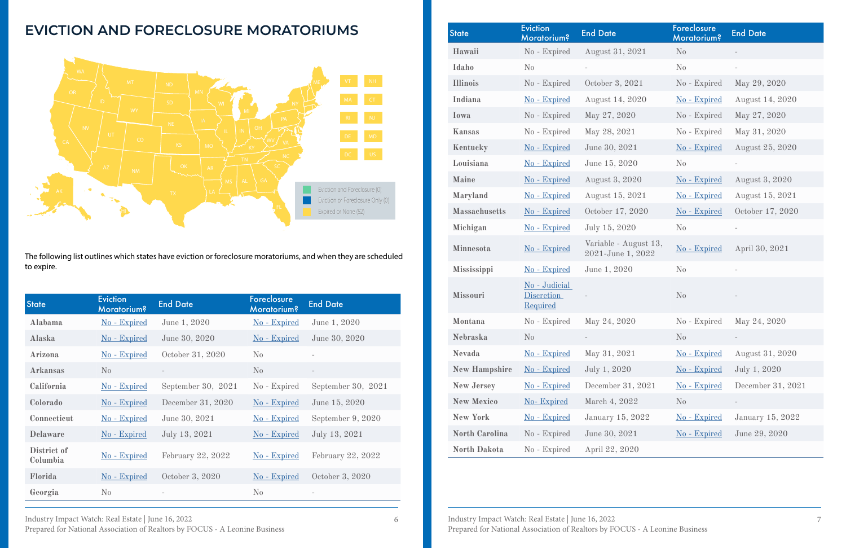| Industry Impact Watch: Real Estate   June 16, 2022                          |
|-----------------------------------------------------------------------------|
| Prepared for National Association of Realtors by FOCUS - A Leonine Business |

Industry Impact Watch: Real Estate | June 16, 2022 Prepared for National Association of Realtors by FOCUS - A Leonine Business 6 19 Industry Impact Watch: Real Estate | June 16, 2022 19 10 19:00 19:00 19:00 19:00 19:00 19:00 19:00 19:00 1

### **EVICTION AND FORECLOSURE MORATORIUMS**



| <b>State</b>            | <b>Eviction</b><br><b>Moratorium?</b> | <b>End Date</b>    | <b>Foreclosure</b><br><b>Moratorium?</b> | <b>End Date</b>      |
|-------------------------|---------------------------------------|--------------------|------------------------------------------|----------------------|
| Alabama                 | <u>No - Expired</u>                   | June 1, 2020       | <u>No - Expired</u>                      | June 1, 2020         |
| Alaska                  | No - Expired                          | June 30, 2020      | No - Expired                             | June 30, 2020        |
| Arizona                 | No - Expired                          | October 31, 2020   | $\rm No$                                 |                      |
| <b>Arkansas</b>         | $\rm No$                              |                    | $\rm N_{0}$                              |                      |
| California              | No - Expired                          | September 30, 2021 | No - Expired                             | September 30, $2021$ |
| Colorado                | <u>No - Expired</u>                   | December 31, 2020  | No - Expired                             | June 15, 2020        |
| Connecticut             | <u>No - Expired</u>                   | June 30, 2021      | <u>No - Expired</u>                      | September 9, 2020    |
| <b>Delaware</b>         | No - Expired                          | July 13, 2021      | <u>No - Expired</u>                      | July 13, 2021        |
| District of<br>Columbia | <u>No - Expired</u>                   | February 22, 2022  | <u>No - Expired</u>                      | February 22, 2022    |
| Florida                 | <u>No - Expired</u>                   | October 3, 2020    | <u>No - Expired</u>                      | October 3, 2020      |
| Georgia                 | $\rm No$                              |                    | $\rm No$                                 |                      |

The following list outlines which states have eviction or foreclosure moratoriums, and when they are scheduled to expire.

| <b>State</b>          | <b>Eviction</b><br><b>Moratorium?</b>          | <b>End Date</b>                            | Foreclosure<br><b>Moratorium?</b> | <b>End Date</b>          |
|-----------------------|------------------------------------------------|--------------------------------------------|-----------------------------------|--------------------------|
| Hawaii                | No - Expired                                   | August 31, 2021                            | $\rm No$                          |                          |
| Idaho                 | $\rm No$                                       |                                            | N <sub>0</sub>                    | $\overline{\phantom{a}}$ |
| <b>Illinois</b>       | No - Expired                                   | October 3, 2021                            | No - Expired                      | May 29, 2020             |
| Indiana               | No - Expired                                   | August 14, 2020                            | No - Expired                      | August 14, 2020          |
| Iowa                  | No - Expired                                   | May 27, 2020                               | No - Expired                      | May 27, 2020             |
| Kansas                | No - Expired                                   | May 28, 2021                               | No - Expired                      | May 31, 2020             |
| Kentucky              | No - Expired                                   | June 30, 2021                              | No - Expired                      | <b>August 25, 2020</b>   |
| Louisiana             | No - Expired                                   | June 15, 2020                              | $\rm No$                          |                          |
| Maine                 | No - Expired                                   | <b>August 3, 2020</b>                      | No - Expired                      | <b>August 3, 2020</b>    |
| Maryland              | No - Expired                                   | August 15, 2021                            | No - Expired                      | August 15, 2021          |
| <b>Massachusetts</b>  | No - Expired                                   | October 17, 2020                           | No - Expired                      | October 17, 2020         |
| Michigan              | No - Expired                                   | July 15, 2020                              | N <sub>0</sub>                    |                          |
| Minnesota             | No - Expired                                   | Variable - August 13,<br>2021-June 1, 2022 | No - Expired                      | April 30, 2021           |
| <b>Mississippi</b>    | No - Expired                                   | June 1, 2020                               | N <sub>0</sub>                    |                          |
| Missouri              | No - Judicial<br><b>Discretion</b><br>Required |                                            | No                                |                          |
| Montana               | No - Expired                                   | May 24, 2020                               | No - Expired                      | May 24, 2020             |
| <b>Nebraska</b>       | No                                             |                                            | No                                |                          |
| <b>Nevada</b>         | No - Expired                                   | May 31, 2021                               | No - Expired                      | August 31, 2020          |
| <b>New Hampshire</b>  | <u>No - Expired</u>                            | July 1, 2020                               | No - Expired                      | July 1, 2020             |
| <b>New Jersey</b>     | No - Expired                                   | December 31, 2021                          | No - Expired                      | December 31, 2021        |
| <b>New Mexico</b>     | No-Expired                                     | March 4, 2022                              | $\rm No$                          |                          |
| <b>New York</b>       | No - Expired                                   | January 15, 2022                           | No - Expired                      | January 15, 2022         |
| <b>North Carolina</b> | No - Expired                                   | June 30, 2021                              | <u>No - Expired</u>               | June 29, 2020            |
| North Dakota          | No - Expired                                   | April 22, 2020                             |                                   |                          |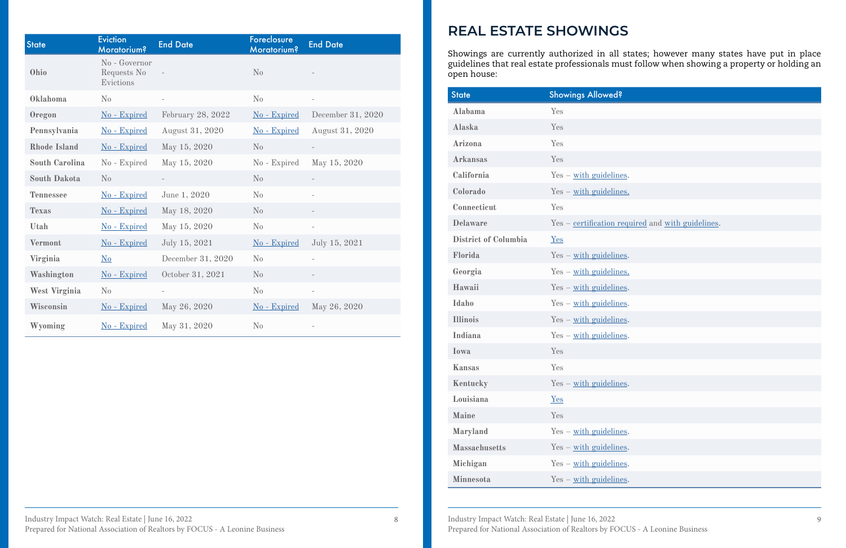Industry Impact Watch: Real Estate | June 16, 2022 Prepared for National Association of Realtors by FOCUS - A Leonine Business 8 March 19 March 19 March 19 March 19 March 19 March 19 March 19 March 19 March 19 March 19 March 19 March 19 March 19 March 19 March 19 March 19 March 19 March 19 March 19 March 19 March 19 March 19 March 19 March 19 Marc

| <b>State</b>          | <b>Eviction</b><br><b>Moratorium?</b>     | <b>End Date</b>          | Foreclosure<br><b>Moratorium?</b> | <b>End Date</b>          |
|-----------------------|-------------------------------------------|--------------------------|-----------------------------------|--------------------------|
| Ohio                  | No - Governor<br>Requests No<br>Evictions |                          | No                                |                          |
| Oklahoma              | No                                        | $\overline{\phantom{0}}$ | No                                | $\qquad \qquad -$        |
| Oregon                | No - Expired                              | February 28, 2022        | No - Expired                      | December 31, 2020        |
| Pennsylvania          | No - Expired                              | August 31, 2020          | No - Expired                      | August 31, 2020          |
| <b>Rhode Island</b>   | No - Expired                              | May 15, 2020             | No                                | $\overline{\phantom{a}}$ |
| <b>South Carolina</b> | No - Expired                              | May 15, 2020             | No - Expired                      | May 15, 2020             |
| <b>South Dakota</b>   | No                                        |                          | No                                |                          |
| <b>Tennessee</b>      | No - Expired                              | June 1, 2020             | No                                |                          |
| <b>Texas</b>          | No - Expired                              | May 18, 2020             | No                                |                          |
| Utah                  | No - Expired                              | May 15, 2020             | No                                | $\overline{\phantom{m}}$ |
| <b>Vermont</b>        | No - Expired                              | July 15, 2021            | No - Expired                      | July 15, 2021            |
| Virginia              | N <sub>0</sub>                            | December 31, 2020        | No                                |                          |
| Washington            | No - Expired                              | October 31, 2021         | No                                |                          |
| <b>West Virginia</b>  | No                                        |                          | No                                | $\overline{\phantom{a}}$ |
| Wisconsin             | No - Expired                              | May 26, 2020             | No - Expired                      | May 26, 2020             |
| Wyoming               | No - Expired                              | May 31, 2020             | No                                |                          |

| <b>State</b>         | <b>Showings Allowed?</b>                          |
|----------------------|---------------------------------------------------|
| Alabama              | Yes                                               |
| Alaska               | Yes                                               |
| Arizona              | Yes                                               |
| <b>Arkansas</b>      | Yes                                               |
| California           | $Yes - with guidelines.$                          |
| Colorado             | $Yes - with guidelines.$                          |
| Connecticut          | Yes                                               |
| <b>Delaware</b>      | Yes - certification required and with guidelines. |
| District of Columbia | Yes                                               |
| Florida              | $Yes - with quidelines$ .                         |
| Georgia              | $Yes - with guidelines.$                          |
| Hawaii               | $Yes - with guidelines.$                          |
| Idaho                | $Yes - with guidelines.$                          |
| <b>Illinois</b>      | $Yes - with guidelines.$                          |
| Indiana              | $Yes - with guidelines.$                          |
| Iowa                 | Yes                                               |
| Kansas               | Yes                                               |
| Kentucky             | $Yes - with guidelines.$                          |
| Louisiana            | Yes                                               |
| <b>Maine</b>         | Yes                                               |
| Maryland             | $Yes - with guidelines.$                          |
| <b>Massachusetts</b> | $Yes - with guidelines.$                          |
| Michigan             | $Yes - with guidelines.$                          |
| <b>Minnesota</b>     | $Yes - with guidelines.$                          |

Showings are currently authorized in all states; however many states have put in place guidelines that real estate professionals must follow when showing a property or holding an open house:

### **REAL ESTATE SHOWINGS**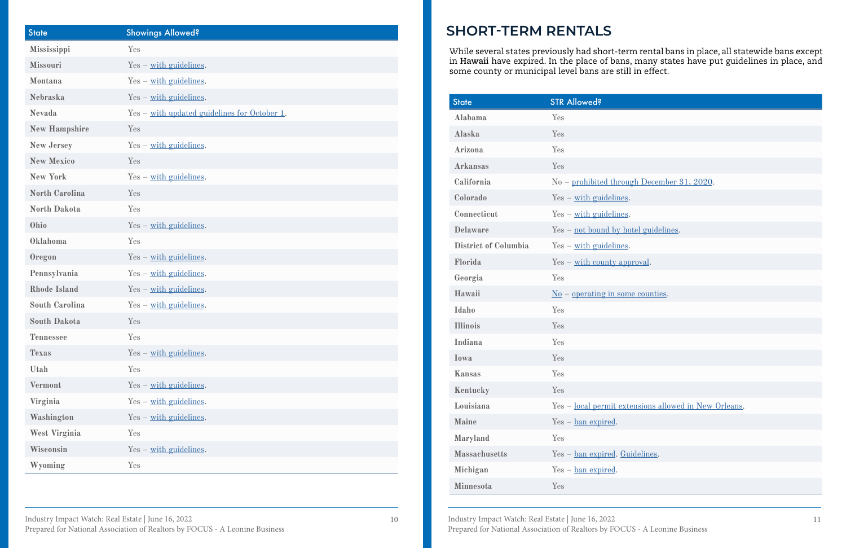Industry Impact Watch: Real Estate | June 16, 2022 Prepared for National Association of Realtors by FOCUS - A Leonine Business 10 Industry Impact Watch: Real Estate | June 16, 2022 11

| bugh December 31, 2020.           |
|-----------------------------------|
| $2S$                              |
| $2S$                              |
| hotel guidelines.                 |
| $\mathbf{2S}$ .                   |
| pproval.                          |
|                                   |
| ome counties.                     |
|                                   |
|                                   |
|                                   |
|                                   |
|                                   |
|                                   |
| xtensions allowed in New Orleans. |
|                                   |
|                                   |
| Fuidelines.                       |
|                                   |
|                                   |

| <b>State</b>          | <b>Showings Allowed?</b>                     |
|-----------------------|----------------------------------------------|
| Mississippi           | Yes                                          |
| Missouri              | $Yes - with guidelines.$                     |
| Montana               | $Yes - with guidelines.$                     |
| <b>Nebraska</b>       | $Yes - with guidelines.$                     |
| <b>Nevada</b>         | Yes - with updated guidelines for October 1. |
| <b>New Hampshire</b>  | Yes                                          |
| <b>New Jersey</b>     | $Yes - with guidelines.$                     |
| <b>New Mexico</b>     | Yes                                          |
| <b>New York</b>       | $Yes - with guidelines.$                     |
| <b>North Carolina</b> | Yes                                          |
| <b>North Dakota</b>   | Yes                                          |
| Ohio                  | $Yes - with guidelines.$                     |
| Oklahoma              | Yes                                          |
| Oregon                | $Yes - with guidelines.$                     |
| Pennsylvania          | $Yes - with guidelines.$                     |
| <b>Rhode Island</b>   | $Yes - with guidelines.$                     |
| <b>South Carolina</b> | $Yes - with guidelines.$                     |
| <b>South Dakota</b>   | Yes                                          |
| <b>Tennessee</b>      | Yes                                          |
| <b>Texas</b>          | $Yes - with guidelines.$                     |
| Utah                  | Yes                                          |
| <b>Vermont</b>        | $Yes - with guidelines.$                     |
| Virginia              | $Yes - with guidelines.$                     |
| Washington            | $Yes - with guidelines.$                     |
| West Virginia         | Yes                                          |
| Wisconsin             | $Yes - with quidelines$ .                    |
| Wyoming               | Yes                                          |

While several states previously had short-term rental bans in place, all statewide bans except in **Hawaii** have expired. In the place of bans, many states have put guidelines in place, and some county or municipal level bans are still in effect.

## **SHORT-TERM RENTALS**

| <b>State</b>                | <b>STR Allowed?</b>                                   |
|-----------------------------|-------------------------------------------------------|
| Alabama                     | Yes                                                   |
| Alaska                      | Yes                                                   |
| Arizona                     | Yes                                                   |
| <b>Arkansas</b>             | Yes                                                   |
| California                  | $No$ – prohibited through December 31, 2020.          |
| Colorado                    | $Yes - with guidelines.$                              |
| Connecticut                 | $Yes - with quidelines$ .                             |
| <b>Delaware</b>             | $Yes - not bound by hotel guidelines.$                |
| <b>District of Columbia</b> | $Yes - with guidelines.$                              |
| Florida                     | $Yes - with count y approval.$                        |
| Georgia                     | Yes                                                   |
| Hawaii                      | $\underline{\text{No}}$ – operating in some counties. |
| Idaho                       | Yes                                                   |
| <b>Illinois</b>             | Yes                                                   |
| Indiana                     | Yes                                                   |
| Iowa                        | Yes                                                   |
| <b>Kansas</b>               | Yes                                                   |
| Kentucky                    | Yes                                                   |
| Louisiana                   | Yes - local permit extensions allowed in New Orleans. |
| <b>Maine</b>                | $Yes - ban expired.$                                  |
| Maryland                    | Yes                                                   |
| <b>Massachusetts</b>        | Yes - ban expired. Guidelines.                        |
| Michigan                    | $Yes - ban$ expired.                                  |
| Minnesota                   | Yes                                                   |
|                             |                                                       |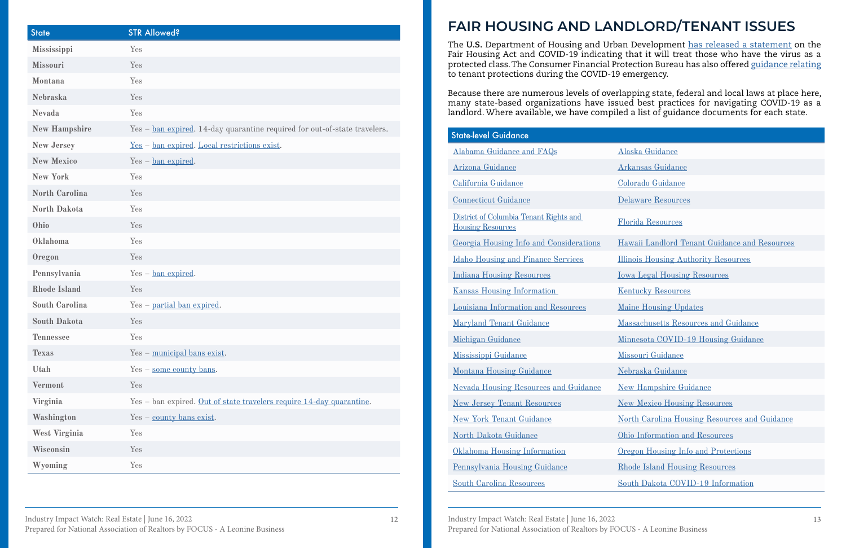Industry Impact Watch: Real Estate | June 16, 2022 Prepared for National Association of Realtors by FOCUS - A Leonine Business 12 Industry Impact Watch: Real Estate | June 16, 2022 13 Prepared for National Association of Realtors by FOCUS - A Leonine Business

| <b>State</b>          | <b>STR Allowed?</b>                                                          |
|-----------------------|------------------------------------------------------------------------------|
| Mississippi           | Yes                                                                          |
| Missouri              | Yes                                                                          |
| Montana               | Yes                                                                          |
| <b>Nebraska</b>       | Yes                                                                          |
| <b>Nevada</b>         | Yes                                                                          |
| <b>New Hampshire</b>  | $Yes - ban expired$ . 14-day quarantine required for out-of-state travelers. |
| <b>New Jersey</b>     | <u>Yes - ban expired. Local restrictions exist.</u>                          |
| <b>New Mexico</b>     | $Yes - ban expired.$                                                         |
| <b>New York</b>       | Yes                                                                          |
| <b>North Carolina</b> | Yes                                                                          |
| <b>North Dakota</b>   | Yes                                                                          |
| Ohio                  | Yes                                                                          |
| Oklahoma              | Yes                                                                          |
| Oregon                | Yes                                                                          |
| Pennsylvania          | $Yes - ban expired.$                                                         |
| <b>Rhode Island</b>   | Yes                                                                          |
| <b>South Carolina</b> | Yes - partial ban expired.                                                   |
| <b>South Dakota</b>   | Yes                                                                          |
| <b>Tennessee</b>      | Yes                                                                          |
| <b>Texas</b>          | Yes - municipal bans exist.                                                  |
| Utah                  | $Yes - some county bans.$                                                    |
| <b>Vermont</b>        | Yes                                                                          |
| Virginia              | Yes - ban expired. Out of state travelers require 14-day quarantine.         |
| Washington            | $Yes - \underline{county}$ bans exist.                                       |
| West Virginia         | Yes                                                                          |
| Wisconsin             | Yes                                                                          |
| Wyoming               | Yes                                                                          |

| State-level Guidance                                               |                                                      |
|--------------------------------------------------------------------|------------------------------------------------------|
| Alabama Guidance and FAQs                                          | Alaska Guidance                                      |
| Arizona Guidance                                                   | <b>Arkansas Guidance</b>                             |
| California Guidance                                                | Colorado Guidance                                    |
| <b>Connecticut Guidance</b>                                        | <b>Delaware Resources</b>                            |
| District of Columbia Tenant Rights and<br><b>Housing Resources</b> | <b>Florida Resources</b>                             |
| Georgia Housing Info and Considerations                            | Hawaii Landlord Tenant Guidance and Resources        |
| <b>Idaho Housing and Finance Services</b>                          | <b>Illinois Housing Authority Resources</b>          |
| <b>Indiana Housing Resources</b>                                   | <b>Iowa Legal Housing Resources</b>                  |
| <b>Kansas Housing Information</b>                                  | <b>Kentucky Resources</b>                            |
| Louisiana Information and Resources                                | <b>Maine Housing Updates</b>                         |
| Maryland Tenant Guidance                                           | Massachusetts Resources and Guidance                 |
| Michigan Guidance                                                  | Minnesota COVID-19 Housing Guidance                  |
| Mississippi Guidance                                               | <b>Missouri Guidance</b>                             |
| <b>Montana Housing Guidance</b>                                    | Nebraska Guidance                                    |
| <b>Nevada Housing Resources and Guidance</b>                       | <b>New Hampshire Guidance</b>                        |
| <b>New Jersey Tenant Resources</b>                                 | <b>New Mexico Housing Resources</b>                  |
| <b>New York Tenant Guidance</b>                                    | <u>North Carolina Housing Resources and Guidance</u> |
| North Dakota Guidance                                              | Ohio Information and Resources                       |
| <b>Oklahoma Housing Information</b>                                | Oregon Housing Info and Protections                  |
| Pennsylvania Housing Guidance                                      | <b>Rhode Island Housing Resources</b>                |
| <b>South Carolina Resources</b>                                    | South Dakota COVID-19 Information                    |
|                                                                    |                                                      |

The **U.S.** Department of Housing and Urban Development [has released a statement](https://www.hud.gov/sites/dfiles/FHEO/documents/secretary fh statement covid-19 4.3.20.pdf) on the Fair Housing Act and COVID-19 indicating that it will treat those who have the virus as a protected class. The Consumer Financial Protection Bureau has also offered [guidance relating](https://www.consumerfinance.gov/about-us/blog/guide-covid-19-renter-protections/)  to tenant protections during the COVID-19 emergency.

Because there are numerous levels of overlapping state, federal and local laws at place here, many state-based organizations have issued best practices for navigating COVID-19 as a landlord. Where available, we have compiled a list of guidance documents for each state.

# **FAIR HOUSING AND LANDLORD/TENANT ISSUES**

| <b>State-level Guidance</b>                                        |                                             |
|--------------------------------------------------------------------|---------------------------------------------|
| Alabama Guidance and FAQs                                          | Alaska Guidance                             |
| Arizona Guidance                                                   | <b>Arkansas Guidance</b>                    |
| California Guidance                                                | Colorado Guidance                           |
| <b>Connecticut Guidance</b>                                        | Delaware Resources                          |
| District of Columbia Tenant Rights and<br><b>Housing Resources</b> | <b>Florida Resources</b>                    |
| Georgia Housing Info and Considerations                            | Hawaii Landlord Tenant Guidance and R       |
| <b>Idaho Housing and Finance Services</b>                          | <b>Illinois Housing Authority Resources</b> |
| <b>Indiana Housing Resources</b>                                   | <b>Iowa Legal Housing Resources</b>         |
| <b>Kansas Housing Information</b>                                  | <b>Kentucky Resources</b>                   |
| Louisiana Information and Resources                                | <b>Maine Housing Updates</b>                |
| Maryland Tenant Guidance                                           | <b>Massachusetts Resources and Guidance</b> |
| Michigan Guidance                                                  | Minnesota COVID-19 Housing Guidance         |
| Mississippi Guidance                                               | <b>Missouri Guidance</b>                    |
| <b>Montana Housing Guidance</b>                                    | Nebraska Guidance                           |
| <b>Nevada Housing Resources and Guidance</b>                       | <b>New Hampshire Guidance</b>               |
| <b>New Jersey Tenant Resources</b>                                 | <b>New Mexico Housing Resources</b>         |
| <b>New York Tenant Guidance</b>                                    | North Carolina Housing Resources and O      |
| North Dakota Guidance                                              | Ohio Information and Resources              |
| Oklahoma Housing Information                                       | Oregon Housing Info and Protections         |
| Pennsylvania Housing Guidance                                      | <b>Rhode Island Housing Resources</b>       |
| <b>South Carolina Resources</b>                                    | South Dakota COVID-19 Information           |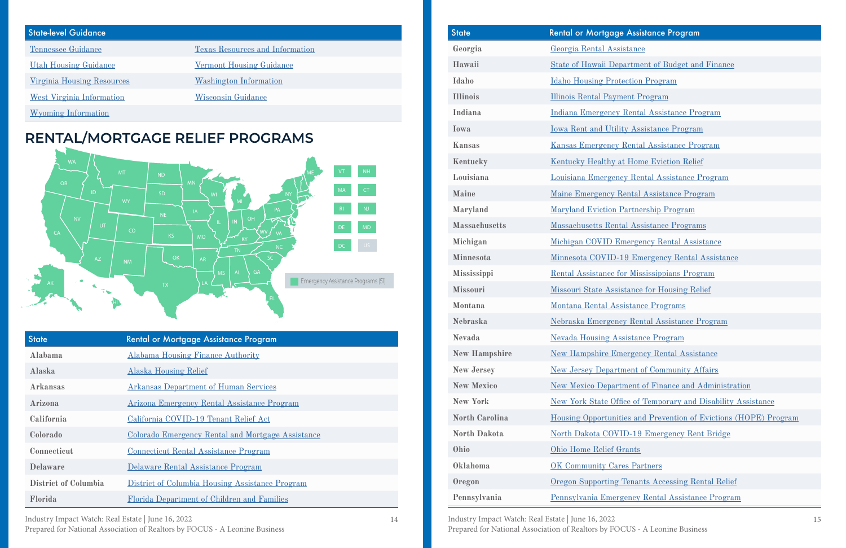Industry Impact Watch: Real Estate | June 16, 2022 Prepared for National Association of Realtors by FOCUS - A Leonine Business 14 Industry Impact Watch: Real Estate | June 16, 2022 15 Prepared for National Association of Realtors by FOCUS - A Leonine Business

#### **Assistance Program**

- **Hausdari** State of Budget and Finance
- **Ideologie International Program**
- <u>**Illinois Program**</u>
- **Rental Assistance Program**
- **IV Assistance Program**
- **Rental Assistance Program**
- **K** Home Eviction Relief
- **Louis Coulom Entry Rental Assistance Program**
- **Manuel Assistance Program**
- **Partnership Program**
- **Massachusetts** Programs
- **Michigan Covid-Assistance**
- **19 Emergency Rental Assistance**
- **The Mississippians Program**
- stance for Housing Relief
- **Sistance Programs**
- **Example 28 Rental Assistance Program**
- **New System** Program
- **New Rental Assistance**
- **IFREDE ISON DEPTITION** OF Community Affairs
- **EXECUTE: [New Mexico Department of Finance and Administration](https://www.nmdfa.state.nm.us/office-of-the-secretary/emergency-rental-assistance-program/)**
- **new York** Stephen Office of Temporary and Disability Assistance
- **North Carolina Carolina [Housing Opportunities and Prevention of Evictions \(HOPE\) Program](https://nc211.org/hope/)**
- **ID-19 Emergency Rent Bridge**
- 
- **Partners**
- **Tenants Accessing Rental Relief**
- **Pency Rental Assistance Program**

#### State-level Guidance

[Tennessee Guidance](https://tnrealtors.com/covid19/) [Texas Resources and Information](https://www.tdhca.state.tx.us/covid19.htm)

[Utah Housing Guidance](https://utahhousingcorp.org/pdf/COVID19-200402.pdf) [Vermont Housing Guidance](https://humanservices.vermont.gov/sites/ahsnew/files/FAQ for Affordable Housing Providers 5.4.20.pdf)

[Virginia Housing Resources](https://dhcd.virginia.gov/) [Washington Information](https://www.naahq.org/covid-19-information-washington)

[West Virginia Information](https://www.naahq.org/covid-19-information-west-virginia) [Wisconsin Guidance](https://datcp.wi.gov/Pages/News_Media/LandlordTenantCOVID19FAQs.aspx)

[Wyoming Information](https://www.naahq.org/covid-19-information-wyoming)

### **RENTAL/MORTGAGE RELIEF PROGRAMS**

| <b>State</b>         | Rental or Mortgage Assistance Program             |
|----------------------|---------------------------------------------------|
| Alabama              | <b>Alabama Housing Finance Authority</b>          |
| Alaska               | <b>Alaska Housing Relief</b>                      |
| <b>Arkansas</b>      | <b>Arkansas Department of Human Services</b>      |
| Arizona              | Arizona Emergency Rental Assistance Program       |
| California           | California COVID-19 Tenant Relief Act             |
| Colorado             | Colorado Emergency Rental and Mortgage Assistance |
| Connecticut          | <u>Connecticut Rental Assistance Program</u>      |
| <b>Delaware</b>      | Delaware Rental Assistance Program                |
| District of Columbia | District of Columbia Housing Assistance Program   |
| Florida              | Florida Department of Children and Families       |

| <b>State</b>          | <b>Rental or Mortgage Assis</b>   |
|-----------------------|-----------------------------------|
| Georgia               | Georgia Rental Assistance         |
| Hawaii                | <b>State of Hawaii Departmen</b>  |
| Idaho                 | <b>Idaho Housing Protection</b>   |
| <b>Illinois</b>       | <b>Illinois Rental Payment Pr</b> |
| Indiana               | Indiana Emergency Rental          |
| Iowa                  | <b>Iowa Rent and Utility Ass.</b> |
| <b>Kansas</b>         | <b>Kansas Emergency Rental</b>    |
| Kentucky              | Kentucky Healthy at Hom           |
| Louisiana             | Louisiana Emergency Ren           |
| <b>Maine</b>          | Maine Emergency Rental            |
| Maryland              | <b>Maryland Eviction Partner</b>  |
| <b>Massachusetts</b>  | <b>Massachusetts Rental Assi</b>  |
| Michigan              | Michigan COVID Emerger            |
| <b>Minnesota</b>      | Minnesota COVID-19 Eme            |
| Mississippi           | <b>Rental Assistance for Miss</b> |
| <b>Missouri</b>       | <b>Missouri State Assistance</b>  |
| Montana               | Montana Rental Assistanc          |
| <b>Nebraska</b>       | Nebraska Emergency Rent           |
| <b>Nevada</b>         | <b>Nevada Housing Assistand</b>   |
| <b>New Hampshire</b>  | <b>New Hampshire Emergeno</b>     |
| <b>New Jersey</b>     | <b>New Jersey Department of</b>   |
| <b>New Mexico</b>     | <b>New Mexico Department of</b>   |
| <b>New York</b>       | New York State Office of 7        |
| <b>North Carolina</b> | <b>Housing Opportunities and</b>  |
| <b>North Dakota</b>   | North Dakota COVID-19             |
| Ohio                  | Ohio Home Relief Grants           |
| Oklahoma              | OK Community Cares Par            |
| Oregon                | <b>Oregon Supporting Tenant</b>   |
| Pennsylvania          | Pennsylvania Emergency 1          |